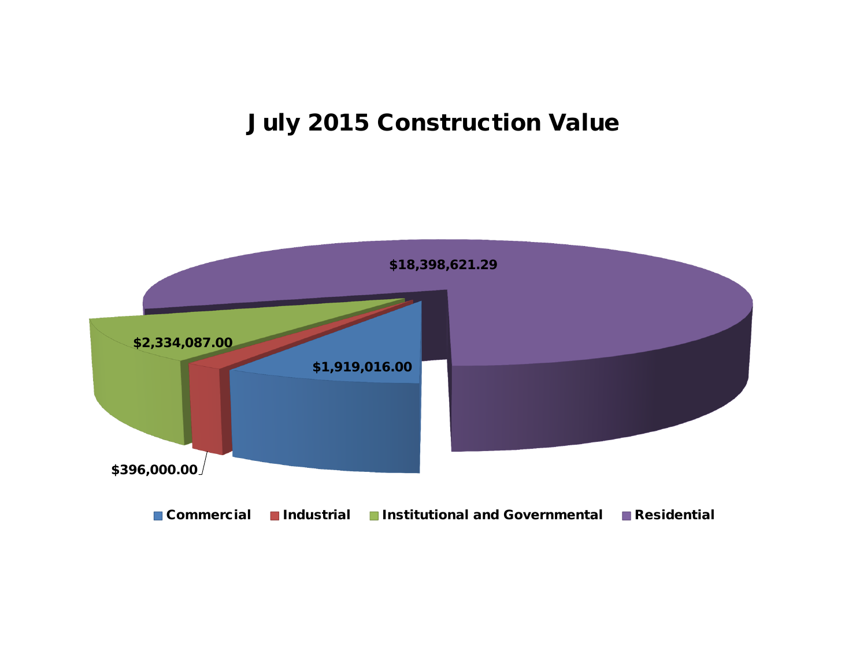## **July 2015 Construction Value**

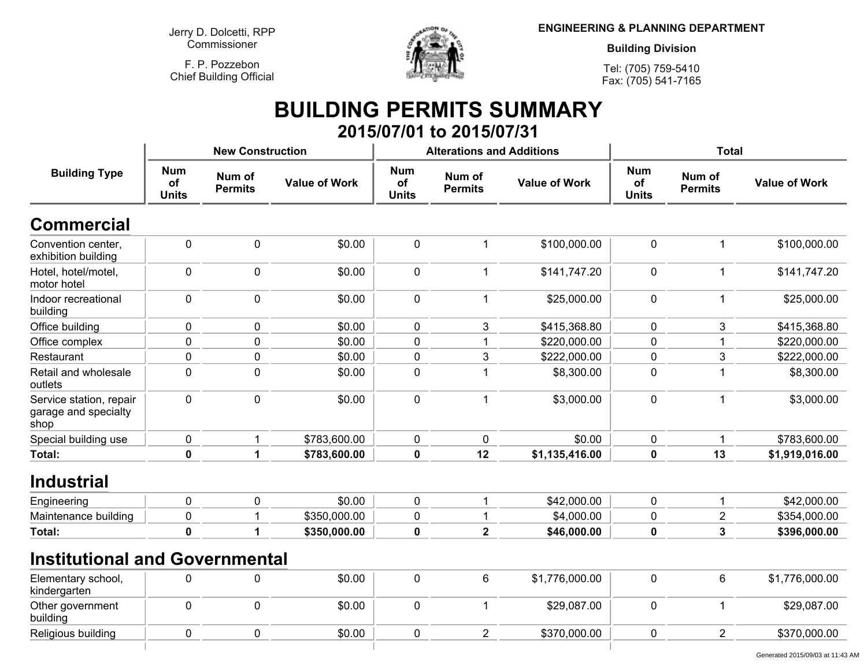**Jerry D. Dolcetti, RPPCommissioner**

**F. P. PozzebonChief Building Official**



**ENGINEERING & PLANNING DEPARTMENT**

**Building Division**

**Tel: (705) 759-5410Fax: (705) 541-7165**

## **BUILDING PERMITS SUMMARY 2015/07/01 to 2015/07/31**

|                                                         |                                  | <b>New Construction</b>  |                      |                                  | <b>Alterations and Additions</b> |                      | <b>Total</b>                     |                          |                      |
|---------------------------------------------------------|----------------------------------|--------------------------|----------------------|----------------------------------|----------------------------------|----------------------|----------------------------------|--------------------------|----------------------|
| <b>Building Type</b>                                    | <b>Num</b><br>of<br><b>Units</b> | Num of<br><b>Permits</b> | <b>Value of Work</b> | <b>Num</b><br>of<br><b>Units</b> | Num of<br><b>Permits</b>         | <b>Value of Work</b> | <b>Num</b><br>of<br><b>Units</b> | Num of<br><b>Permits</b> | <b>Value of Work</b> |
| <b>Commercial</b>                                       |                                  |                          |                      |                                  |                                  |                      |                                  |                          |                      |
| Convention center,<br>exhibition building               | 0                                | $\mathbf 0$              | \$0.00               | $\boldsymbol{0}$                 |                                  | \$100,000.00         | $\pmb{0}$                        | $\mathbf 1$              | \$100,000.00         |
| Hotel, hotel/motel,<br>motor hotel                      | 0                                | 0                        | \$0.00               | $\mathbf 0$                      | 1                                | \$141,747.20         | $\mathbf 0$                      | $\mathbf{1}$             | \$141,747.20         |
| Indoor recreational<br>building                         | 0                                | 0                        | \$0.00               | $\mathbf 0$                      | 1                                | \$25,000.00          | $\mathbf 0$                      | $\mathbf 1$              | \$25,000.00          |
| Office building                                         | 0                                | $\mathbf 0$              | \$0.00               | 0                                | 3                                | \$415,368.80         | 0                                | 3                        | \$415,368.80         |
| Office complex                                          | $\pmb{0}$                        | $\mathbf 0$              | \$0.00               | $\mathbf 0$                      |                                  | \$220,000.00         | $\mathbf 0$                      |                          | \$220,000.00         |
| Restaurant                                              | $\pmb{0}$                        | $\pmb{0}$                | \$0.00               | $\pmb{0}$                        | 3                                | \$222,000.00         | 0                                | 3                        | \$222,000.00         |
| Retail and wholesale<br>outlets                         | 0                                | $\mathbf 0$              | \$0.00               | $\mathbf 0$                      | 1                                | \$8,300.00           | $\mathbf 0$                      | 1                        | \$8,300.00           |
| Service station, repair<br>garage and specialty<br>shop | 0                                | $\mathbf 0$              | \$0.00               | $\mathbf 0$                      | 1                                | \$3,000.00           | $\mathbf 0$                      | $\mathbf 1$              | \$3,000.00           |
| Special building use                                    | 0                                | 1                        | \$783,600.00         | $\mathbf 0$                      | 0                                | \$0.00               | $\pmb{0}$                        | 1                        | \$783,600.00         |
| Total:                                                  | $\mathbf 0$                      | 1                        | \$783,600.00         | $\mathbf 0$                      | 12                               | \$1,135,416.00       | $\mathbf 0$                      | 13                       | \$1,919,016.00       |
| <b>Industrial</b>                                       |                                  |                          |                      |                                  |                                  |                      |                                  |                          |                      |
| Engineering                                             | 0                                | $\mathbf 0$              | \$0.00               | $\boldsymbol{0}$                 | 1                                | \$42,000.00          | $\mathbf 0$                      | 1                        | \$42,000.00          |
| Maintenance building                                    | $\pmb{0}$                        |                          | \$350,000.00         | $\pmb{0}$                        |                                  | \$4,000.00           | $\pmb{0}$                        | $\overline{c}$           | \$354,000.00         |
| Total:                                                  | $\pmb{0}$                        | 1                        | \$350,000.00         | $\mathbf 0$                      | $\overline{2}$                   | \$46,000.00          | $\mathbf 0$                      | 3                        | \$396,000.00         |
| <b>Institutional and Governmental</b>                   |                                  |                          |                      |                                  |                                  |                      |                                  |                          |                      |
| Elementary school,<br>kindergarten                      | 0                                | 0                        | \$0.00               | $\mathbf 0$                      | 6                                | \$1,776,000.00       | $\pmb{0}$                        | 6                        | \$1,776,000.00       |
| Other government<br>building                            | 0                                | 0                        | \$0.00               | $\mathbf 0$                      | 1                                | \$29,087.00          | $\mathbf 0$                      | $\mathbf 1$              | \$29,087.00          |
| Religious building                                      | 0                                | $\mathbf 0$              | \$0.00               | $\mathbf 0$                      | $\overline{2}$                   | \$370,000.00         | $\mathbf 0$                      | $\overline{2}$           | \$370,000.00         |
|                                                         |                                  |                          |                      |                                  |                                  |                      |                                  |                          |                      |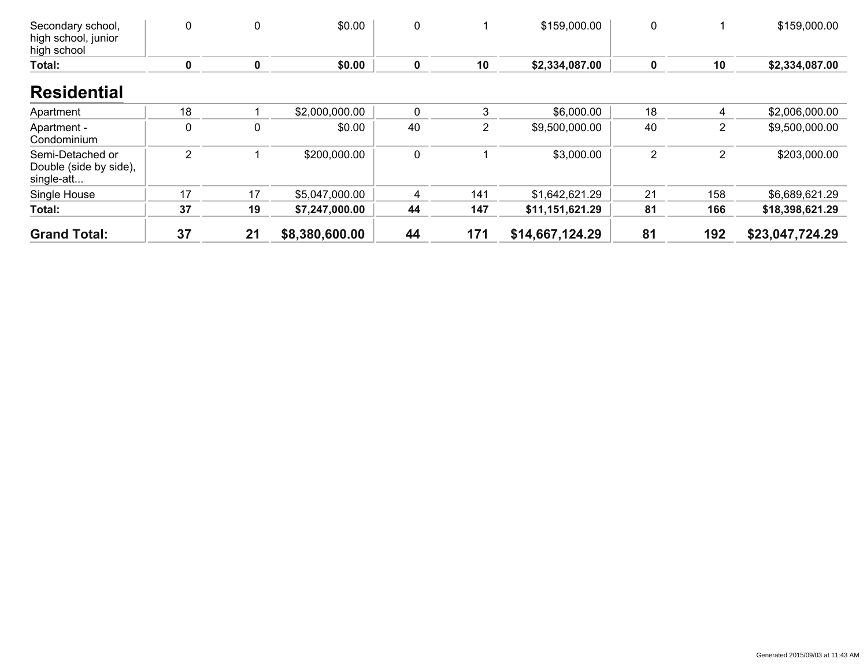| Secondary school,<br>high school, junior<br>high school  | 0                | 0  | \$0.00         | 0           |     | \$159,000.00    | 0              |                | \$159,000.00    |
|----------------------------------------------------------|------------------|----|----------------|-------------|-----|-----------------|----------------|----------------|-----------------|
| Total:                                                   | 0                | 0  | \$0.00         | 0           | 10  | \$2,334,087.00  | 0              | 10             | \$2,334,087.00  |
| <b>Residential</b>                                       |                  |    |                |             |     |                 |                |                |                 |
| Apartment                                                | 18               |    | \$2,000,000.00 | 0           | 3   | \$6,000.00      | 18             | 4              | \$2,006,000.00  |
| Apartment -<br>Condominium                               | $\boldsymbol{0}$ | 0  | \$0.00         | 40          | 2   | \$9,500,000.00  | 40             | 2              | \$9,500,000.00  |
| Semi-Detached or<br>Double (side by side),<br>single-att | $\overline{2}$   |    | \$200,000.00   | $\mathbf 0$ |     | \$3,000.00      | $\overline{2}$ | $\overline{2}$ | \$203,000.00    |
| Single House                                             | 17               | 17 | \$5,047,000.00 | 4           | 141 | \$1,642,621.29  | 21             | 158            | \$6,689,621.29  |
| Total:                                                   | 37               | 19 | \$7,247,000.00 | 44          | 147 | \$11,151,621.29 | 81             | 166            | \$18,398,621.29 |
| <b>Grand Total:</b>                                      | 37               | 21 | \$8,380,600.00 | 44          | 171 | \$14,667,124.29 | 81             | 192            | \$23,047,724.29 |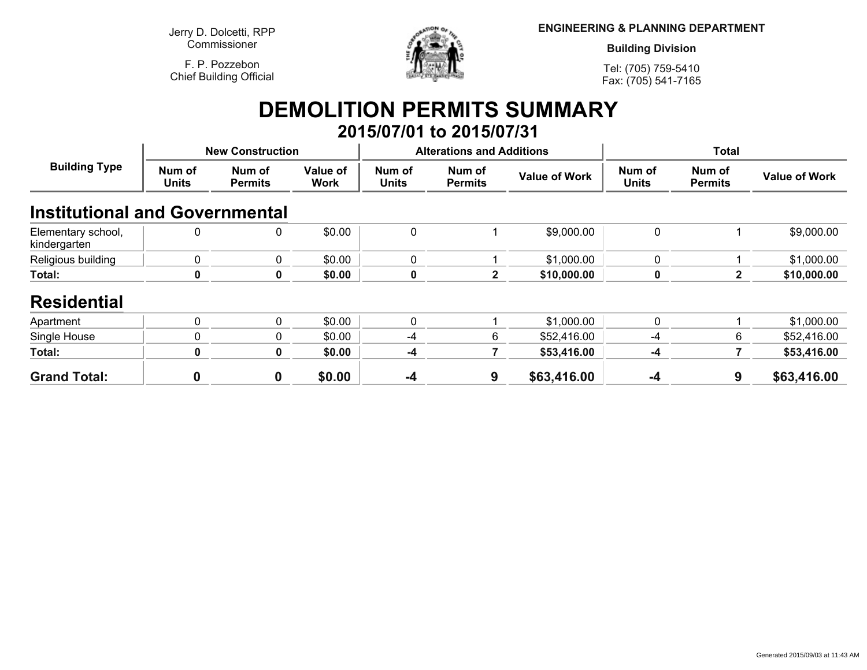**Jerry D. Dolcetti, RPPCommissioner**

**F. P. PozzebonChief Building Official**



**ENGINEERING & PLANNING DEPARTMENT**

**Building Division**

**Tel: (705) 759-5410Fax: (705) 541-7165**

## **DEMOLITION PERMITS SUMMARY 2015/07/01 to 2015/07/31**

| <b>Building Type</b>                  |                        | <b>New Construction</b>  |                         |                        | <b>Alterations and Additions</b> |                      | <b>Total</b>           |                          |                      |
|---------------------------------------|------------------------|--------------------------|-------------------------|------------------------|----------------------------------|----------------------|------------------------|--------------------------|----------------------|
|                                       | Num of<br><b>Units</b> | Num of<br><b>Permits</b> | Value of<br><b>Work</b> | Num of<br><b>Units</b> | Num of<br><b>Permits</b>         | <b>Value of Work</b> | Num of<br><b>Units</b> | Num of<br><b>Permits</b> | <b>Value of Work</b> |
| <b>Institutional and Governmental</b> |                        |                          |                         |                        |                                  |                      |                        |                          |                      |
| Elementary school,<br>kindergarten    |                        | 0                        | \$0.00                  | $\mathbf 0$            |                                  | \$9,000.00           | 0                      |                          | \$9,000.00           |
| Religious building                    | $\mathbf{0}$           | $\Omega$                 | \$0.00                  | $\mathbf{0}$           |                                  | \$1,000.00           | 0                      |                          | \$1,000.00           |
| Total:                                |                        | 0                        | \$0.00                  | $\mathbf 0$            | $\mathbf{2}$                     | \$10,000.00          | 0                      | 2                        | \$10,000.00          |
| <b>Residential</b>                    |                        |                          |                         |                        |                                  |                      |                        |                          |                      |
| Apartment                             | $\Omega$               | $\Omega$                 | \$0.00                  | $\mathbf{0}$           |                                  | \$1,000.00           | $\mathbf 0$            |                          | \$1,000.00           |
| Single House                          |                        | $\mathbf{0}$             | \$0.00                  | $-4$                   | 6                                | \$52,416.00          | $-4$                   | 6                        | \$52,416.00          |
| Total:                                | 0                      | $\mathbf{0}$             | \$0.00                  | $-4$                   |                                  | \$53,416.00          | -4                     |                          | \$53,416.00          |
| <b>Grand Total:</b>                   | 0                      | $\mathbf 0$              | \$0.00                  | $-4$                   | 9                                | \$63,416.00          | $-4$                   | 9                        | \$63,416.00          |